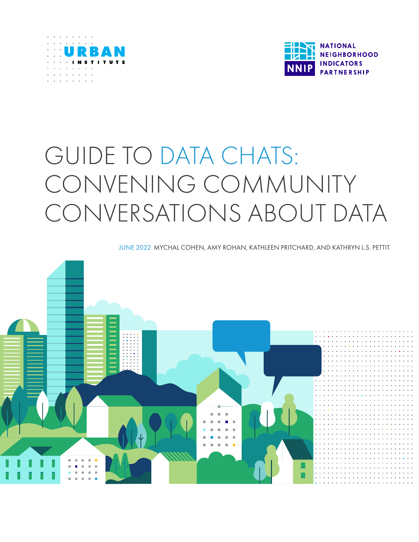



# GUIDE TO DATA CHATS: CONVENING COMMUNITY CONVERSATIONS ABOUT DATA

JUNE 2022 MYCHAL COHEN, AMY ROHAN, KATHLEEN PRITCHARD, AND KATHRYN L.S. PETTIT

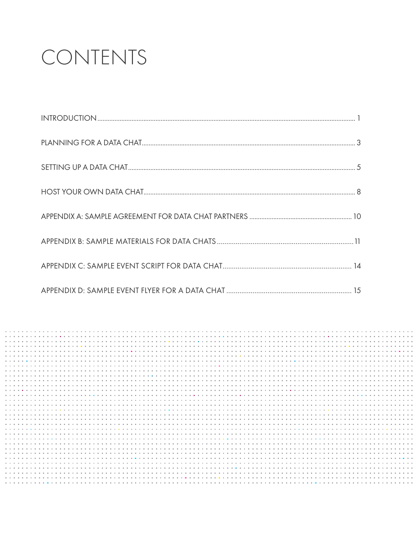# CONTENTS

|                    |  |  |  |  |  |  |  |  |  |   |  |  |  |  |  |   |  |  |  |  |  |  |  |  | <b>ALC: YES</b> |  |
|--------------------|--|--|--|--|--|--|--|--|--|---|--|--|--|--|--|---|--|--|--|--|--|--|--|--|-----------------|--|
|                    |  |  |  |  |  |  |  |  |  |   |  |  |  |  |  |   |  |  |  |  |  |  |  |  |                 |  |
|                    |  |  |  |  |  |  |  |  |  |   |  |  |  |  |  |   |  |  |  |  |  |  |  |  |                 |  |
|                    |  |  |  |  |  |  |  |  |  |   |  |  |  |  |  |   |  |  |  |  |  |  |  |  |                 |  |
|                    |  |  |  |  |  |  |  |  |  |   |  |  |  |  |  |   |  |  |  |  |  |  |  |  |                 |  |
|                    |  |  |  |  |  |  |  |  |  |   |  |  |  |  |  |   |  |  |  |  |  |  |  |  |                 |  |
|                    |  |  |  |  |  |  |  |  |  |   |  |  |  |  |  |   |  |  |  |  |  |  |  |  |                 |  |
|                    |  |  |  |  |  |  |  |  |  |   |  |  |  |  |  |   |  |  |  |  |  |  |  |  |                 |  |
|                    |  |  |  |  |  |  |  |  |  |   |  |  |  |  |  |   |  |  |  |  |  |  |  |  |                 |  |
|                    |  |  |  |  |  |  |  |  |  |   |  |  |  |  |  |   |  |  |  |  |  |  |  |  |                 |  |
|                    |  |  |  |  |  |  |  |  |  |   |  |  |  |  |  |   |  |  |  |  |  |  |  |  |                 |  |
| .                  |  |  |  |  |  |  |  |  |  |   |  |  |  |  |  |   |  |  |  |  |  |  |  |  |                 |  |
|                    |  |  |  |  |  |  |  |  |  |   |  |  |  |  |  |   |  |  |  |  |  |  |  |  |                 |  |
|                    |  |  |  |  |  |  |  |  |  |   |  |  |  |  |  | . |  |  |  |  |  |  |  |  |                 |  |
|                    |  |  |  |  |  |  |  |  |  |   |  |  |  |  |  |   |  |  |  |  |  |  |  |  |                 |  |
|                    |  |  |  |  |  |  |  |  |  |   |  |  |  |  |  |   |  |  |  |  |  |  |  |  |                 |  |
|                    |  |  |  |  |  |  |  |  |  |   |  |  |  |  |  |   |  |  |  |  |  |  |  |  |                 |  |
|                    |  |  |  |  |  |  |  |  |  |   |  |  |  |  |  |   |  |  |  |  |  |  |  |  |                 |  |
|                    |  |  |  |  |  |  |  |  |  |   |  |  |  |  |  |   |  |  |  |  |  |  |  |  |                 |  |
|                    |  |  |  |  |  |  |  |  |  |   |  |  |  |  |  |   |  |  |  |  |  |  |  |  |                 |  |
|                    |  |  |  |  |  |  |  |  |  |   |  |  |  |  |  |   |  |  |  |  |  |  |  |  |                 |  |
|                    |  |  |  |  |  |  |  |  |  |   |  |  |  |  |  |   |  |  |  |  |  |  |  |  |                 |  |
|                    |  |  |  |  |  |  |  |  |  |   |  |  |  |  |  |   |  |  |  |  |  |  |  |  |                 |  |
|                    |  |  |  |  |  |  |  |  |  |   |  |  |  |  |  |   |  |  |  |  |  |  |  |  |                 |  |
|                    |  |  |  |  |  |  |  |  |  | . |  |  |  |  |  |   |  |  |  |  |  |  |  |  |                 |  |
|                    |  |  |  |  |  |  |  |  |  |   |  |  |  |  |  |   |  |  |  |  |  |  |  |  |                 |  |
| .                  |  |  |  |  |  |  |  |  |  |   |  |  |  |  |  | . |  |  |  |  |  |  |  |  |                 |  |
|                    |  |  |  |  |  |  |  |  |  |   |  |  |  |  |  |   |  |  |  |  |  |  |  |  |                 |  |
|                    |  |  |  |  |  |  |  |  |  |   |  |  |  |  |  |   |  |  |  |  |  |  |  |  |                 |  |
|                    |  |  |  |  |  |  |  |  |  |   |  |  |  |  |  |   |  |  |  |  |  |  |  |  |                 |  |
|                    |  |  |  |  |  |  |  |  |  |   |  |  |  |  |  |   |  |  |  |  |  |  |  |  |                 |  |
| .                  |  |  |  |  |  |  |  |  |  |   |  |  |  |  |  |   |  |  |  |  |  |  |  |  |                 |  |
| <b>A. A. A. A.</b> |  |  |  |  |  |  |  |  |  |   |  |  |  |  |  |   |  |  |  |  |  |  |  |  |                 |  |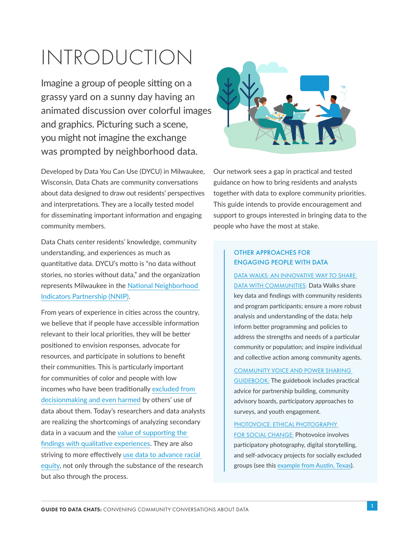# INTRODUCTION

Imagine a group of people sitting on a grassy yard on a sunny day having an animated discussion over colorful images and graphics. Picturing such a scene, you might not imagine the exchange was prompted by neighborhood data.

Developed by Data You Can Use (DYCU) in Milwaukee, Wisconsin, Data Chats are community conversations about data designed to draw out residents' perspectives and interpretations. They are a locally tested model for disseminating important information and engaging community members.

Data Chats center residents' knowledge, community understanding, and experiences as much as quantitative data. DYCU's motto is "no data without stories, no stories without data," and the organization represents Milwaukee in the [National Neighborhood](https://www.neighborhoodindicators.org/)  [Indicators Partnership \(NNIP\)](https://www.neighborhoodindicators.org/).

From years of experience in cities across the country, we believe that if people have accessible information relevant to their local priorities, they will be better positioned to envision responses, advocate for resources, and participate in solutions to benefit their communities. This is particularly important for communities of color and people with low incomes who have been traditionally [excluded from](https://www.urban.org/research/publication/envisioning-new-future-building-trust-data-use)  [decisionmaking and even harmed](https://www.urban.org/research/publication/envisioning-new-future-building-trust-data-use) by others' use of data about them. Today's researchers and data analysts are realizing the shortcomings of analyzing secondary data in a vacuum and the [value of supporting the](https://www.urban.org/research/publication/principles-advancing-equitable-data-practice)  [findings with qualitative experiences](https://www.urban.org/research/publication/principles-advancing-equitable-data-practice). They are also striving to more effectively [use data to advance racial](https://www.neighborhoodindicators.org/nnips-goals-improve-use-data-advancing-racial-equity)  [equity](https://www.neighborhoodindicators.org/nnips-goals-improve-use-data-advancing-racial-equity), not only through the substance of the research but also through the process.



Our network sees a gap in practical and tested guidance on how to bring residents and analysts together with data to explore community priorities. This guide intends to provide encouragement and support to groups interested in bringing data to the people who have the most at stake.

### OTHER APPROACHES FOR ENGAGING PEOPLE WITH DATA

[DATA WALKS: AN INNOVATIVE WAY TO SHARE](https://www.urban.org/research/publication/data-walks-innovative-way-share-data-communities)  [DATA WITH COMMUNITIES:](https://www.urban.org/research/publication/data-walks-innovative-way-share-data-communities) Data Walks share key data and findings with community residents and program participants; ensure a more robust analysis and understanding of the data; help inform better programming and policies to address the strengths and needs of a particular community or population; and inspire individual and collective action among community agents.

[COMMUNITY VOICE AND POWER SHARING](https://www.urban.org/research/publication/community-voice-and-power-sharing-guidebook)  [GUIDEBOOK:](https://www.urban.org/research/publication/community-voice-and-power-sharing-guidebook) The guidebook includes practical advice for partnership building, community advisory boards, participatory approaches to surveys, and youth engagement.

[PHOTOVOICE: ETHICAL PHOTOGRAPHY](https://www.urban.org/sites/default/files/publication/101038/mobilizing_youth.pdf)  [FOR SOCIAL CHANGE:](https://www.urban.org/sites/default/files/publication/101038/mobilizing_youth.pdf) Photovoice involves participatory photography, digital storytelling, and self-advocacy projects for socially excluded groups (see this [example from Austin, Texas\)](https://www.neighborhoodindicators.org/library/stories/utilizing-youth-voice-inform-local-health-planning-austin).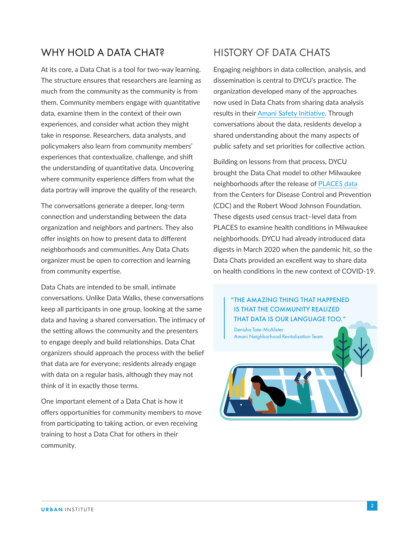# WHY HOLD A DATA CHAT?

At its core, a Data Chat is a tool for two-way learning. The structure ensures that researchers are learning as much from the community as the community is from them. Community members engage with quantitative data, examine them in the context of their own experiences, and consider what action they might take in response. Researchers, data analysts, and policymakers also learn from community members' experiences that contextualize, challenge, and shift the understanding of quantitative data. Uncovering where community experience differs from what the data portray will improve the quality of the research.

The conversations generate a deeper, long-term connection and understanding between the data organization and neighbors and partners. They also offer insights on how to present data to different neighborhoods and communities. Any Data Chats organizer must be open to correction and learning from community expertise.

Data Chats are intended to be small, intimate conversations. Unlike Data Walks, these conversations keep all participants in one group, looking at the same data and having a shared conversation. The intimacy of the setting allows the community and the presenters to engage deeply and build relationships. Data Chat organizers should approach the process with the belief that data are for everyone; residents already engage with data on a regular basis, although they may not think of it in exactly those terms.

One important element of a Data Chat is how it offers opportunities for community members to move from participating to taking action, or even receiving training to host a Data Chat for others in their community.

# HISTORY OF DATA CHATS

Engaging neighbors in data collection, analysis, and dissemination is central to DYCU's practice. The organization developed many of the approaches now used in Data Chats from sharing data analysis results in their [Amani Safety Initiative](https://www.neighborhoodindicators.org/library/stories/milwaukee%E2%80%99s-amani-neighborhood-uses-data-target-traffic-safety-and-build). Through conversations about the data, residents develop a shared understanding about the many aspects of public safety and set priorities for collective action.

Building on lessons from that process, DYCU brought the Data Chat model to other Milwaukee neighborhoods after the release of [PLACES data](https://www.cdc.gov/places/index.html) from the Centers for Disease Control and Prevention (CDC) and the Robert Wood Johnson Foundation. These digests used census tract–level data from PLACES to examine health conditions in Milwaukee neighborhoods. DYCU had already introduced data digests in March 2020 when the pandemic hit, so the Data Chats provided an excellent way to share data on health conditions in the new context of COVID-19.



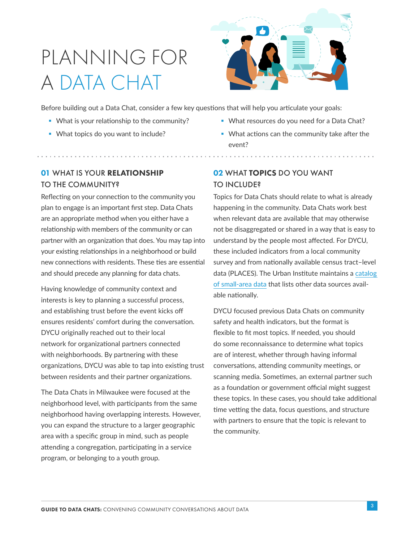# PLANNING FOR A DATA CHAT



Before building out a Data Chat, consider a few key questions that will help you articulate your goals:

- **What is your relationship to the community?**
- **What topics do you want to include?**
- **What resources do you need for a Data Chat?**
- What actions can the community take after the event?

# 01 WHAT IS YOUR RELATIONSHIP TO THE COMMUNITY?

Reflecting on your connection to the community you plan to engage is an important first step. Data Chats are an appropriate method when you either have a relationship with members of the community or can partner with an organization that does. You may tap into your existing relationships in a neighborhood or build new connections with residents. These ties are essential and should precede any planning for data chats.

Having knowledge of community context and interests is key to planning a successful process, and establishing trust before the event kicks off ensures residents' comfort during the conversation. DYCU originally reached out to their local network for organizational partners connected with neighborhoods. By partnering with these organizations, DYCU was able to tap into existing trust between residents and their partner organizations.

The Data Chats in Milwaukee were focused at the neighborhood level, with participants from the same neighborhood having overlapping interests. However, you can expand the structure to a larger geographic area with a specific group in mind, such as people attending a congregation, participating in a service program, or belonging to a youth group.

# 02 WHAT TOPICS DO YOU WANT TO INCLUDE?

Topics for Data Chats should relate to what is already happening in the community. Data Chats work best when relevant data are available that may otherwise not be disaggregated or shared in a way that is easy to understand by the people most affected. For DYCU, these included indicators from a local community survey and from nationally available census tract–level data (PLACES). The Urban Institute maintains a [catalog](https://datacatalog.urban.org/dataset/catalog-national-small-area-data)  [of small-area data](https://datacatalog.urban.org/dataset/catalog-national-small-area-data) that lists other data sources available nationally.

DYCU focused previous Data Chats on community safety and health indicators, but the format is flexible to fit most topics. If needed, you should do some reconnaissance to determine what topics are of interest, whether through having informal conversations, attending community meetings, or scanning media. Sometimes, an external partner such as a foundation or government official might suggest these topics. In these cases, you should take additional time vetting the data, focus questions, and structure with partners to ensure that the topic is relevant to the community.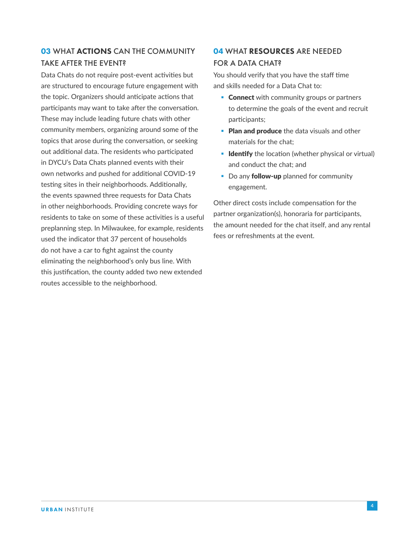# **03 WHAT ACTIONS CAN THE COMMUNITY** TAKE AFTER THE EVENT?

Data Chats do not require post-event activities but are structured to encourage future engagement with the topic. Organizers should anticipate actions that participants may want to take after the conversation. These may include leading future chats with other community members, organizing around some of the topics that arose during the conversation, or seeking out additional data. The residents who participated in DYCU's Data Chats planned events with their own networks and pushed for additional COVID-19 testing sites in their neighborhoods. Additionally, the events spawned three requests for Data Chats in other neighborhoods. Providing concrete ways for residents to take on some of these activities is a useful preplanning step. In Milwaukee, for example, residents used the indicator that 37 percent of households do not have a car to fight against the county eliminating the neighborhood's only bus line. With this justification, the county added two new extended routes accessible to the neighborhood.

# 04 WHAT RESOURCES ARE NEEDED FOR A DATA CHAT?

You should verify that you have the staff time and skills needed for a Data Chat to:

- **Connect** with community groups or partners to determine the goals of the event and recruit participants;
- **Plan and produce** the data visuals and other materials for the chat;
- **Identify** the location (whether physical or virtual) and conduct the chat; and
- Do any **follow-up** planned for community engagement.

Other direct costs include compensation for the partner organization(s), honoraria for participants, the amount needed for the chat itself, and any rental fees or refreshments at the event.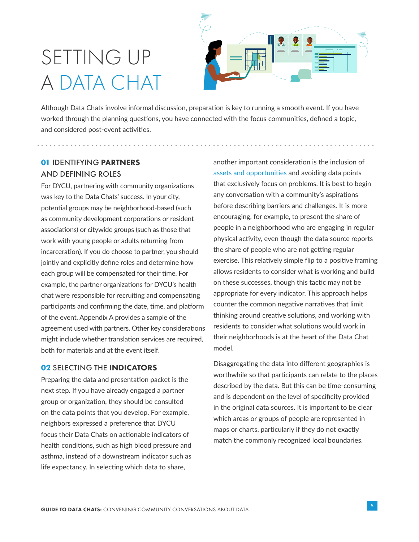# SETTING UP A DATA CHAT



Although Data Chats involve informal discussion, preparation is key to running a smooth event. If you have worked through the planning questions, you have connected with the focus communities, defined a topic, and considered post-event activities.

# 01 IDENTIFYING PARTNERS AND DEFINING ROLES

For DYCU, partnering with community organizations was key to the Data Chats' success. In your city, potential groups may be neighborhood-based (such as community development corporations or resident associations) or citywide groups (such as those that work with young people or adults returning from incarceration). If you do choose to partner, you should jointly and explicitly define roles and determine how each group will be compensated for their time. For example, the partner organizations for DYCU's health chat were responsible for recruiting and compensating participants and confirming the date, time, and platform of the event. Appendix A provides a sample of the agreement used with partners. Other key considerations might include whether translation services are required, both for materials and at the event itself.

### 02 SELECTING THE INDICATORS

Preparing the data and presentation packet is the next step. If you have already engaged a partner group or organization, they should be consulted on the data points that you develop. For example, neighbors expressed a preference that DYCU focus their Data Chats on actionable indicators of health conditions, such as high blood pressure and asthma, instead of a downstream indicator such as life expectancy. In selecting which data to share,

another important consideration is the inclusion of [assets and opportunities](https://www.comnetwork.org/resources/asset-framing-the-other-side-of-the-story/) and avoiding data points that exclusively focus on problems. It is best to begin any conversation with a community's aspirations before describing barriers and challenges. It is more encouraging, for example, to present the share of people in a neighborhood who are engaging in regular physical activity, even though the data source reports the share of people who are not getting regular exercise. This relatively simple flip to a positive framing allows residents to consider what is working and build on these successes, though this tactic may not be appropriate for every indicator. This approach helps counter the common negative narratives that limit thinking around creative solutions, and working with residents to consider what solutions would work in their neighborhoods is at the heart of the Data Chat model.

Disaggregating the data into different geographies is worthwhile so that participants can relate to the places described by the data. But this can be time-consuming and is dependent on the level of specificity provided in the original data sources. It is important to be clear which areas or groups of people are represented in maps or charts, particularly if they do not exactly match the commonly recognized local boundaries.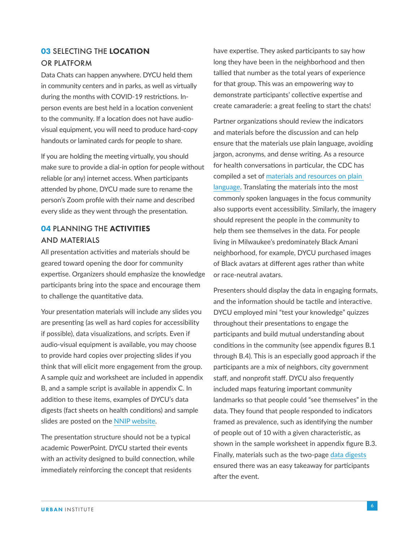## **03 SELECTING THE LOCATION** OR PLATFORM

Data Chats can happen anywhere. DYCU held them in community centers and in parks, as well as virtually during the months with COVID-19 restrictions. Inperson events are best held in a location convenient to the community. If a location does not have audiovisual equipment, you will need to produce hard-copy handouts or laminated cards for people to share.

If you are holding the meeting virtually, you should make sure to provide a dial-in option for people without reliable (or any) internet access. When participants attended by phone, DYCU made sure to rename the person's Zoom profile with their name and described every slide as they went through the presentation.

## 04 PLANNING THE ACTIVITIES AND MATERIALS

All presentation activities and materials should be geared toward opening the door for community expertise. Organizers should emphasize the knowledge participants bring into the space and encourage them to challenge the quantitative data.

Your presentation materials will include any slides you are presenting (as well as hard copies for accessibility if possible), data visualizations, and scripts. Even if audio-visual equipment is available, you may choose to provide hard copies over projecting slides if you think that will elicit more engagement from the group. A sample quiz and worksheet are included in appendix B, and a sample script is available in appendix C. In addition to these items, examples of DYCU's data digests (fact sheets on health conditions) and sample slides are posted on the [NNIP website](https://www.neighborhoodindicators.org/activities/partner/data-chat-guide-supplemental-materials).

The presentation structure should not be a typical academic PowerPoint. DYCU started their events with an activity designed to build connection, while immediately reinforcing the concept that residents

have expertise. They asked participants to say how long they have been in the neighborhood and then tallied that number as the total years of experience for that group. This was an empowering way to demonstrate participants' collective expertise and create camaraderie: a great feeling to start the chats!

Partner organizations should review the indicators and materials before the discussion and can help ensure that the materials use plain language, avoiding jargon, acronyms, and dense writing. As a resource for health conversations in particular, the CDC has compiled a set of [materials and resources on plain](https://www.cdc.gov/healthliteracy/developmaterials/plainlanguage.html)  [language](https://www.cdc.gov/healthliteracy/developmaterials/plainlanguage.html). Translating the materials into the most commonly spoken languages in the focus community also supports event accessibility. Similarly, the imagery should represent the people in the community to help them see themselves in the data. For people living in Milwaukee's predominately Black Amani neighborhood, for example, DYCU purchased images of Black avatars at different ages rather than white or race-neutral avatars.

Presenters should display the data in engaging formats, and the information should be tactile and interactive. DYCU employed mini "test your knowledge" quizzes throughout their presentations to engage the participants and build mutual understanding about conditions in the community (see appendix figures B.1 through B.4). This is an especially good approach if the participants are a mix of neighbors, city government staff, and nonprofit staff. DYCU also frequently included maps featuring important community landmarks so that people could "see themselves" in the data. They found that people responded to indicators framed as prevalence, such as identifying the number of people out of 10 with a given characteristic, as shown in the sample worksheet in appendix figure B.3. Finally, materials such as the two-page [data digests](https://www.neighborhoodindicators.org/activities/partner/data-chat-guide-supplemental-materials) ensured there was an easy takeaway for participants after the event.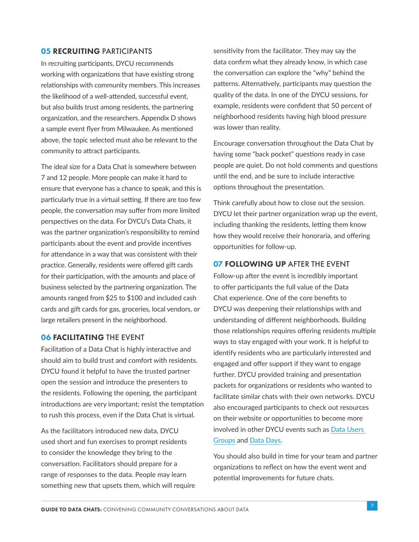### **05 RECRUITING PARTICIPANTS**

In recruiting participants, DYCU recommends working with organizations that have existing strong relationships with community members. This increases the likelihood of a well-attended, successful event, but also builds trust among residents, the partnering organization, and the researchers. Appendix D shows a sample event flyer from Milwaukee. As mentioned above, the topic selected must also be relevant to the community to attract participants.

The ideal size for a Data Chat is somewhere between 7 and 12 people. More people can make it hard to ensure that everyone has a chance to speak, and this is particularly true in a virtual setting. If there are too few people, the conversation may suffer from more limited perspectives on the data. For DYCU's Data Chats, it was the partner organization's responsibility to remind participants about the event and provide incentives for attendance in a way that was consistent with their practice. Generally, residents were offered gift cards for their participation, with the amounts and place of business selected by the partnering organization. The amounts ranged from \$25 to \$100 and included cash cards and gift cards for gas, groceries, local vendors, or large retailers present in the neighborhood.

### 06 FACILITATING THE EVENT

Facilitation of a Data Chat is highly interactive and should aim to build trust and comfort with residents. DYCU found it helpful to have the trusted partner open the session and introduce the presenters to the residents. Following the opening, the participant introductions are very important; resist the temptation to rush this process, even if the Data Chat is virtual.

As the facilitators introduced new data, DYCU used short and fun exercises to prompt residents to consider the knowledge they bring to the conversation. Facilitators should prepare for a range of responses to the data. People may learn something new that upsets them, which will require sensitivity from the facilitator. They may say the data confirm what they already know, in which case the conversation can explore the "why" behind the patterns. Alternatively, participants may question the quality of the data. In one of the DYCU sessions, for example, residents were confident that 50 percent of neighborhood residents having high blood pressure was lower than reality.

Encourage conversation throughout the Data Chat by having some "back pocket" questions ready in case people are quiet. Do not hold comments and questions until the end, and be sure to include interactive options throughout the presentation.

Think carefully about how to close out the session. DYCU let their partner organization wrap up the event, including thanking the residents, letting them know how they would receive their honoraria, and offering opportunities for follow-up.

### **07 FOLLOWING UP AFTER THE EVENT**

Follow-up after the event is incredibly important to offer participants the full value of the Data Chat experience. One of the core benefits to DYCU was deepening their relationships with and understanding of different neighborhoods. Building those relationships requires offering residents multiple ways to stay engaged with your work. It is helpful to identify residents who are particularly interested and engaged and offer support if they want to engage further. DYCU provided training and presentation packets for organizations or residents who wanted to facilitate similar chats with their own networks. DYCU also encouraged participants to check out resources on their website or opportunities to become more involved in other DYCU events such as [Data Users](https://www.datayoucanuse.org/hug/)  [Groups](https://www.datayoucanuse.org/hug/) and [Data Days](https://www.datayoucanuse.org/7th-data-day-2021/).

You should also build in time for your team and partner organizations to reflect on how the event went and potential improvements for future chats.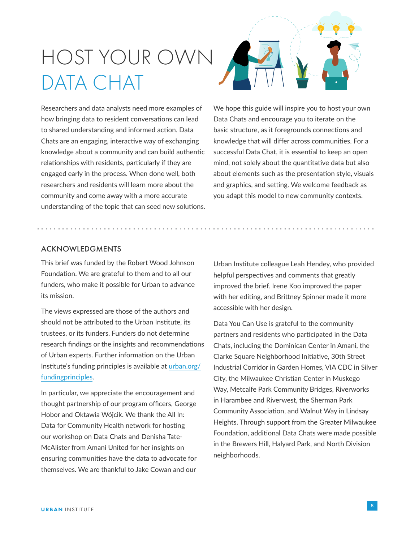# HOST YOUR OWN DATA CHAT

Researchers and data analysts need more examples of how bringing data to resident conversations can lead to shared understanding and informed action. Data Chats are an engaging, interactive way of exchanging knowledge about a community and can build authentic relationships with residents, particularly if they are engaged early in the process. When done well, both researchers and residents will learn more about the community and come away with a more accurate understanding of the topic that can seed new solutions.



We hope this guide will inspire you to host your own Data Chats and encourage you to iterate on the basic structure, as it foregrounds connections and knowledge that will differ across communities. For a successful Data Chat, it is essential to keep an open mind, not solely about the quantitative data but also about elements such as the presentation style, visuals and graphics, and setting. We welcome feedback as you adapt this model to new community contexts.

## ACKNOWLEDGMENTS

This brief was funded by the Robert Wood Johnson Foundation. We are grateful to them and to all our funders, who make it possible for Urban to advance its mission.

The views expressed are those of the authors and should not be attributed to the Urban Institute, its trustees, or its funders. Funders do not determine research findings or the insights and recommendations of Urban experts. Further information on the Urban Institute's funding principles is available at [urban.org/](http://urban.org/fundingprinciples) [fundingprinciples](http://urban.org/fundingprinciples).

In particular, we appreciate the encouragement and thought partnership of our program officers, George Hobor and Oktawia Wójcik. We thank the All In: Data for Community Health network for hosting our workshop on Data Chats and Denisha Tate-McAlister from Amani United for her insights on ensuring communities have the data to advocate for themselves. We are thankful to Jake Cowan and our

Urban Institute colleague Leah Hendey, who provided helpful perspectives and comments that greatly improved the brief. Irene Koo improved the paper with her editing, and Brittney Spinner made it more accessible with her design.

Data You Can Use is grateful to the community partners and residents who participated in the Data Chats, including the Dominican Center in Amani, the Clarke Square Neighborhood Initiative, 30th Street Industrial Corridor in Garden Homes, VIA CDC in Silver City, the Milwaukee Christian Center in Muskego Way, Metcalfe Park Community Bridges, Riverworks in Harambee and Riverwest, the Sherman Park Community Association, and Walnut Way in Lindsay Heights. Through support from the Greater Milwaukee Foundation, additional Data Chats were made possible in the Brewers Hill, Halyard Park, and North Division neighborhoods.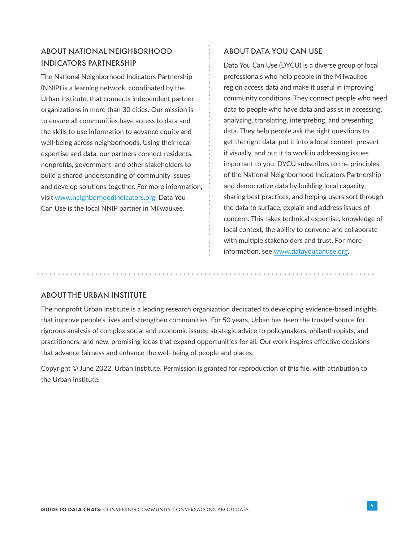## ABOUT NATIONAL NEIGHBORHOOD INDICATORS PARTNERSHIP

The National Neighborhood Indicators Partnership (NNIP) is a learning network, coordinated by the Urban Institute, that connects independent partner organizations in more than 30 cities. Our mission is to ensure all communities have access to data and the skills to use information to advance equity and well-being across neighborhoods. Using their local expertise and data, our partners connect residents, nonprofits, government, and other stakeholders to build a shared understanding of community issues and develop solutions together. For more information, visit [www.neighborhoodindicators.org.](http://www.neighborhoodindicators.org) Data You Can Use is the local NNIP partner in Milwaukee.

## ABOUT DATA YOU CAN USE

Data You Can Use (DYCU) is a diverse group of local professionals who help people in the Milwaukee region access data and make it useful in improving community conditions. They connect people who need data to people who have data and assist in accessing, analyzing, translating, interpreting, and presenting data. They help people ask the right questions to get the right data, put it into a local context, present it visually, and put it to work in addressing issues important to you. DYCU subscribes to the principles of the National Neighborhood Indicators Partnership and democratize data by building local capacity, sharing best practices, and helping users sort through the data to surface, explain and address issues of concern. This takes technical expertise, knowledge of local context, the ability to convene and collaborate with multiple stakeholders and trust. For more information, see [www.datayoucanuse.org](http://www.datayoucanuse.org).

### ABOUT THE URBAN INSTITUTE

The nonprofit Urban Institute is a leading research organization dedicated to developing evidence-based insights that improve people's lives and strengthen communities. For 50 years, Urban has been the trusted source for rigorous analysis of complex social and economic issues; strategic advice to policymakers, philanthropists, and practitioners; and new, promising ideas that expand opportunities for all. Our work inspires effective decisions that advance fairness and enhance the well-being of people and places.

Copyright © June 2022. Urban Institute. Permission is granted for reproduction of this file, with attribution to the Urban Institute.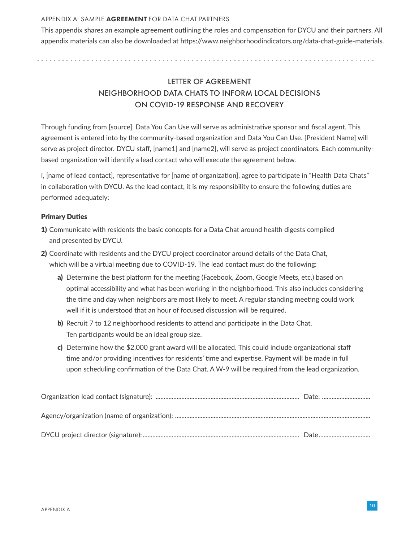#### APPENDIX A: SAMPLE AGREEMENT FOR DATA CHAT PARTNERS

This appendix shares an example agreement outlining the roles and compensation for DYCU and their partners. All appendix materials can also be downloaded at https://www.neighborhoodindicators.org/data-chat-guide-materials.

> LETTER OF AGREEMENT NEIGHBORHOOD DATA CHATS TO INFORM LOCAL DECISIONS ON COVID-19 RESPONSE AND RECOVERY

Through funding from [source], Data You Can Use will serve as administrative sponsor and fiscal agent. This agreement is entered into by the community-based organization and Data You Can Use. [President Name] will serve as project director. DYCU staff, [name1] and [name2], will serve as project coordinators. Each communitybased organization will identify a lead contact who will execute the agreement below.

I, [name of lead contact], representative for [name of organization], agree to participate in "Health Data Chats" in collaboration with DYCU. As the lead contact, it is my responsibility to ensure the following duties are performed adequately:

### Primary Duties

- 1) Communicate with residents the basic concepts for a Data Chat around health digests compiled and presented by DYCU.
- 2) Coordinate with residents and the DYCU project coordinator around details of the Data Chat, which will be a virtual meeting due to COVID-19. The lead contact must do the following:
	- a) Determine the best platform for the meeting (Facebook, Zoom, Google Meets, etc.) based on optimal accessibility and what has been working in the neighborhood. This also includes considering the time and day when neighbors are most likely to meet. A regular standing meeting could work well if it is understood that an hour of focused discussion will be required.
	- b) Recruit 7 to 12 neighborhood residents to attend and participate in the Data Chat. Ten participants would be an ideal group size.
	- c) Determine how the \$2,000 grant award will be allocated. This could include organizational staff time and/or providing incentives for residents' time and expertise. Payment will be made in full upon scheduling confirmation of the Data Chat. A W-9 will be required from the lead organization.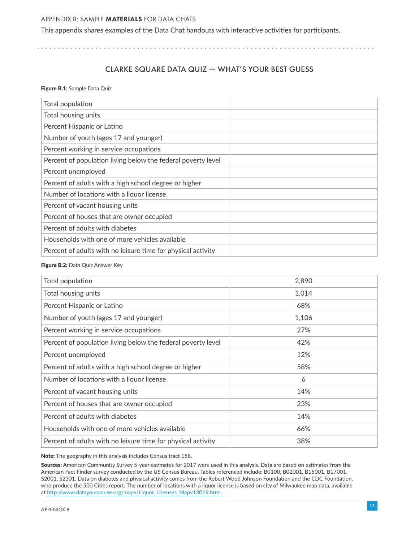#### APPENDIX B: SAMPLE MATERIALS FOR DATA CHATS

This appendix shares examples of the Data Chat handouts with interactive activities for participants.

. . . . . . . . . . . . . . . . . 

## CLARKE SQUARE DATA QUIZ — WHAT'S YOUR BEST GUESS

Figure B.1**:** Sample Data Quiz

| Total population                                             |  |
|--------------------------------------------------------------|--|
| Total housing units                                          |  |
| Percent Hispanic or Latino                                   |  |
| Number of youth (ages 17 and younger)                        |  |
| Percent working in service occupations                       |  |
| Percent of population living below the federal poverty level |  |
| Percent unemployed                                           |  |
| Percent of adults with a high school degree or higher        |  |
| Number of locations with a liquor license                    |  |
| Percent of vacant housing units                              |  |
| Percent of houses that are owner occupied                    |  |
| Percent of adults with diabetes                              |  |
| Households with one of more vehicles available               |  |
| Percent of adults with no leisure time for physical activity |  |

#### Figure B.2: Data Quiz Answer Key

| Total population                                             | 2,890 |
|--------------------------------------------------------------|-------|
| Total housing units                                          | 1,014 |
| Percent Hispanic or Latino                                   | 68%   |
| Number of youth (ages 17 and younger)                        | 1,106 |
| Percent working in service occupations                       | 27%   |
| Percent of population living below the federal poverty level | 42%   |
| Percent unemployed                                           | 12%   |
| Percent of adults with a high school degree or higher        | 58%   |
| Number of locations with a liquor license                    | 6     |
| Percent of vacant housing units                              | 14%   |
| Percent of houses that are owner occupied                    | 23%   |
| Percent of adults with diabetes                              | 14%   |
| Households with one of more vehicles available               | 66%   |
| Percent of adults with no leisure time for physical activity | 38%   |

Note: The geography in this analysis includes Census tract 158.

Sources: American Community Survey 5-year estimates for 2017 were used in this analysis. Data are based on estimates from the American Fact Finder survey conducted by the US Census Bureau. Tables referenced include: B0100, B02001, B15001, B17001, S2001, S2301. Data on diabetes and physical activity comes from the Robert Wood Johnson Foundation and the CDC Foundation, who produce the 500 Cities report. The number of locations with a liquor license is based on city of Milwaukee map data, available at [http://www.datayoucanuse.org/maps/Liquor\\_Licenses\\_Mapv13019.html.](https://www.datayoucanuse.org/maps/Liquor_Licenses_Mapv13019.html)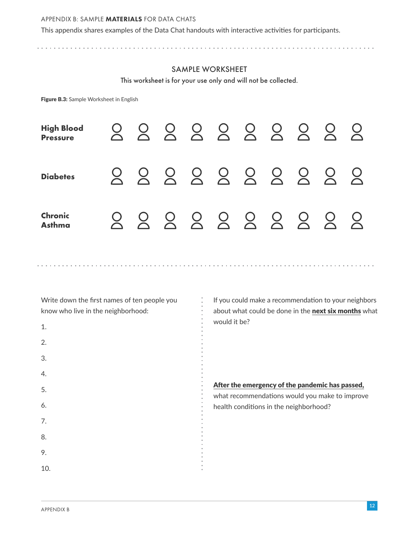#### APPENDIX B: SAMPLE MATERIALS FOR DATA CHATS

This appendix shares examples of the Data Chat handouts with interactive activities for participants.

## SAMPLE WORKSHEET

This worksheet is for your use only and will not be collected.

Figure B.3: Sample Worksheet in English

| <b>High Blood</b><br>Pressure   |  |  | 888888888   |  |  |
|---------------------------------|--|--|-------------|--|--|
| <b>Diabetes</b>                 |  |  | 888888888   |  |  |
| <b>Chronic</b><br><b>Asthma</b> |  |  | 00000000000 |  |  |

Write down the first names of ten people you know who live in the neighborhood:

1. 2. 3. 4. 5. 6. 7. 8. 9. 10. If you could make a recommendation to your neighbors about what could be done in the **next six months** what would it be?

After the emergency of the pandemic has passed,

what recommendations would you make to improve health conditions in the neighborhood?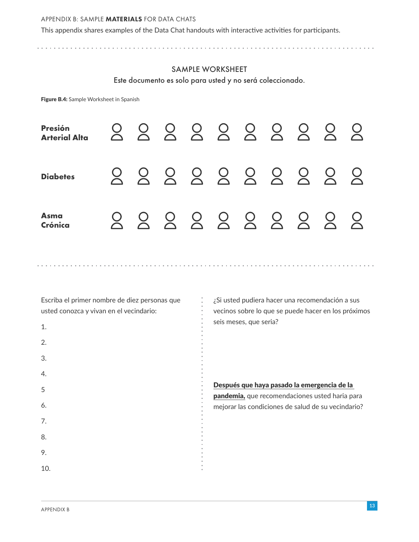#### APPENDIX B: SAMPLE MATERIALS FOR DATA CHATS

This appendix shares examples of the Data Chat handouts with interactive activities for participants.

### SAMPLE WORKSHEET

Este documento es solo para usted y no será coleccionado.

Figure B.4: Sample Worksheet in Spanish

| <b>Presión</b><br><b>Arterial Alta</b> |  |  | 888888888  |  |  |
|----------------------------------------|--|--|------------|--|--|
| <b>Diabetes</b>                        |  |  | 8888888888 |  |  |
| <b>Asma</b><br>Crónica                 |  |  | 8888888888 |  |  |

Escriba el primer nombre de diez personas que usted conozca y vivan en el vecindario:

1. 2. 3. 4. 5 6. 7. 8. 9. 10. ¿Si usted pudiera hacer una recomendación a sus vecinos sobre lo que se puede hacer en los próximos seis meses, que seria?

Después que haya pasado la emergencia de la pandemia, que recomendaciones usted haria para mejorar las condiciones de salud de su vecindario?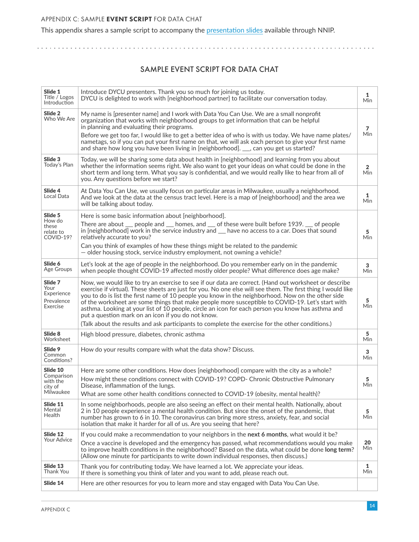This appendix shares a sample script to accompany the [presentation slides](https://www.neighborhoodindicators.org/activities/partner/data-chat-guide-supplemental-materials) available through NNIP.

## SAMPLE EVENT SCRIPT FOR DATA CHAT

| Slide 1<br>Introduce DYCU presenters. Thank you so much for joining us today.<br>1<br>Title / Logos<br>DYCU is delighted to work with [neighborhood partner] to facilitate our conversation today.<br><b>Min</b><br>Introduction<br>Slide 2<br>My name is [presenter name] and I work with Data You Can Use. We are a small nonprofit<br>Who We Are<br>organization that works with neighborhood groups to get information that can be helpful<br>in planning and evaluating their programs.<br>7<br>Min<br>Before we get too far, I would like to get a better idea of who is with us today. We have name plates/<br>nametags, so if you can put your first name on that, we will ask each person to give your first name<br>and share how long you have been living in [neighborhood]. __, can you get us started?<br>Slide 3<br>Today, we will be sharing some data about health in [neighborhood] and learning from you about<br>Today's Plan<br>whether the information seems right. We also want to get your ideas on what could be done in the<br>$\overline{2}$<br>short term and long term. What you say is confidential, and we would really like to hear from all of<br><b>Min</b><br>you. Any questions before we start?<br>Slide 4<br>At Data You Can Use, we usually focus on particular areas in Milwaukee, usually a neighborhood.<br>1<br>Local Data<br>And we look at the data at the census tract level. Here is a map of [neighborhood] and the area we<br>Min<br>will be talking about today.<br>Slide 5<br>Here is some basic information about [neighborhood].<br>How do<br>There are about <sub>—</sub> people and <sub>—</sub> homes, and <sub>—</sub> of these were built before 1939. <sub>—</sub> of people<br>these<br>in [neighborhood] work in the service industry and <u>that we</u> no access to a car. Does that sound<br>5<br>relate to<br>COVID-19?<br>relatively accurate to you?<br>Min<br>Can you think of examples of how these things might be related to the pandemic<br>- older housing stock, service industry employment, not owning a vehicle?<br>Slide 6<br>Let's look at the age of people in the neighborhood. Do you remember early on in the pandemic<br>3<br>Age Groups<br>when people thought COVID-19 affected mostly older people? What difference does age make?<br><b>Min</b><br>Slide 7<br>Now, we would like to try an exercise to see if our data are correct. (Hand out worksheet or describe<br>Your<br>exercise if virtual). These sheets are just for you. No one else will see them. The first thing I would like<br>Experience<br>you to do is list the first name of 10 people you know in the neighborhood. Now on the other side<br>5<br>Prevalence<br>of the worksheet are some things that make people more susceptible to COVID-19. Let's start with<br>Min<br>Exercise<br>asthma. Looking at your list of 10 people, circle an icon for each person you know has asthma and<br>put a question mark on an icon if you do not know.<br>(Talk about the results and ask participants to complete the exercise for the other conditions.)<br>Slide 8<br>5<br>High blood pressure, diabetes, chronic asthma<br>Worksheet<br>Min<br>Slide 9<br>How do your results compare with what the data show? Discuss.<br>3<br>Common<br>Min<br>Conditions?<br>Slide 10<br>Here are some other conditions. How does [neighborhood] compare with the city as a whole?<br>Comparison<br>How might these conditions connect with COVID-19? COPD- Chronic Obstructive Pulmonary<br>5<br>with the<br>Min<br>Disease, inflammation of the lungs.<br>city of<br>Milwaukee<br>What are some other health conditions connected to COVID-19 (obesity, mental health)?<br>Slide 11<br>In some neighborhoods, people are also seeing an effect on their mental health. Nationally, about<br>Mental<br>2 in 10 people experience a mental health condition. But since the onset of the pandemic, that<br>5<br>Health<br>Min<br>number has grown to 6 in 10. The coronavirus can bring more stress, anxiety, fear, and social<br>isolation that make it harder for all of us. Are you seeing that here?<br>Slide 12<br>If you could make a recommendation to your neighbors in the next 6 months, what would it be?<br><b>Your Advice</b><br>20<br>Once a vaccine is developed and the emergency has passed, what recommendations would you make<br>Min<br>to improve health conditions in the neighborhood? Based on the data, what could be done long term?<br>(Allow one minute for participants to write down individual responses, then discuss.)<br>Slide 13<br>1<br>Thank you for contributing today. We have learned a lot. We appreciate your ideas.<br>Thank You<br>Min<br>If there is something you think of later and you want to add, please reach out.<br>Slide 14<br>Here are other resources for you to learn more and stay engaged with Data You Can Use. |  |  |
|------------------------------------------------------------------------------------------------------------------------------------------------------------------------------------------------------------------------------------------------------------------------------------------------------------------------------------------------------------------------------------------------------------------------------------------------------------------------------------------------------------------------------------------------------------------------------------------------------------------------------------------------------------------------------------------------------------------------------------------------------------------------------------------------------------------------------------------------------------------------------------------------------------------------------------------------------------------------------------------------------------------------------------------------------------------------------------------------------------------------------------------------------------------------------------------------------------------------------------------------------------------------------------------------------------------------------------------------------------------------------------------------------------------------------------------------------------------------------------------------------------------------------------------------------------------------------------------------------------------------------------------------------------------------------------------------------------------------------------------------------------------------------------------------------------------------------------------------------------------------------------------------------------------------------------------------------------------------------------------------------------------------------------------------------------------------------------------------------------------------------------------------------------------------------------------------------------------------------------------------------------------------------------------------------------------------------------------------------------------------------------------------------------------------------------------------------------------------------------------------------------------------------------------------------------------------------------------------------------------------------------------------------------------------------------------------------------------------------------------------------------------------------------------------------------------------------------------------------------------------------------------------------------------------------------------------------------------------------------------------------------------------------------------------------------------------------------------------------------------------------------------------------------------------------------------------------------------------------------------------------------------------------------------------------------------------------------------------------------------------------------------------------------------------------------------------------------------------------------------------------------------------------------------------------------------------------------------------------------------------------------------------------------------------------------------------------------------------------------------------------------------------------------------------------------------------------------------------------------------------------------------------------------------------------------------------------------------------------------------------------------------------------------------------------------------------------------------------------------------------------------------------------------------------------------------------------------------------------------------------------------------------------------------------------------------------------------------------------------------------------------------------------------------------------------------------------------------------------------------------------------------------------------------------------------------------------------------------------------------------------------------------------------------------------------------------------------------------------------------------------------------------------------------------------------------------------------------------------------------------------------------------------------------------|--|--|
|                                                                                                                                                                                                                                                                                                                                                                                                                                                                                                                                                                                                                                                                                                                                                                                                                                                                                                                                                                                                                                                                                                                                                                                                                                                                                                                                                                                                                                                                                                                                                                                                                                                                                                                                                                                                                                                                                                                                                                                                                                                                                                                                                                                                                                                                                                                                                                                                                                                                                                                                                                                                                                                                                                                                                                                                                                                                                                                                                                                                                                                                                                                                                                                                                                                                                                                                                                                                                                                                                                                                                                                                                                                                                                                                                                                                                                                                                                                                                                                                                                                                                                                                                                                                                                                                                                                                                                                                                                                                                                                                                                                                                                                                                                                                                                                                                                                                                                                        |  |  |
|                                                                                                                                                                                                                                                                                                                                                                                                                                                                                                                                                                                                                                                                                                                                                                                                                                                                                                                                                                                                                                                                                                                                                                                                                                                                                                                                                                                                                                                                                                                                                                                                                                                                                                                                                                                                                                                                                                                                                                                                                                                                                                                                                                                                                                                                                                                                                                                                                                                                                                                                                                                                                                                                                                                                                                                                                                                                                                                                                                                                                                                                                                                                                                                                                                                                                                                                                                                                                                                                                                                                                                                                                                                                                                                                                                                                                                                                                                                                                                                                                                                                                                                                                                                                                                                                                                                                                                                                                                                                                                                                                                                                                                                                                                                                                                                                                                                                                                                        |  |  |
|                                                                                                                                                                                                                                                                                                                                                                                                                                                                                                                                                                                                                                                                                                                                                                                                                                                                                                                                                                                                                                                                                                                                                                                                                                                                                                                                                                                                                                                                                                                                                                                                                                                                                                                                                                                                                                                                                                                                                                                                                                                                                                                                                                                                                                                                                                                                                                                                                                                                                                                                                                                                                                                                                                                                                                                                                                                                                                                                                                                                                                                                                                                                                                                                                                                                                                                                                                                                                                                                                                                                                                                                                                                                                                                                                                                                                                                                                                                                                                                                                                                                                                                                                                                                                                                                                                                                                                                                                                                                                                                                                                                                                                                                                                                                                                                                                                                                                                                        |  |  |
|                                                                                                                                                                                                                                                                                                                                                                                                                                                                                                                                                                                                                                                                                                                                                                                                                                                                                                                                                                                                                                                                                                                                                                                                                                                                                                                                                                                                                                                                                                                                                                                                                                                                                                                                                                                                                                                                                                                                                                                                                                                                                                                                                                                                                                                                                                                                                                                                                                                                                                                                                                                                                                                                                                                                                                                                                                                                                                                                                                                                                                                                                                                                                                                                                                                                                                                                                                                                                                                                                                                                                                                                                                                                                                                                                                                                                                                                                                                                                                                                                                                                                                                                                                                                                                                                                                                                                                                                                                                                                                                                                                                                                                                                                                                                                                                                                                                                                                                        |  |  |
|                                                                                                                                                                                                                                                                                                                                                                                                                                                                                                                                                                                                                                                                                                                                                                                                                                                                                                                                                                                                                                                                                                                                                                                                                                                                                                                                                                                                                                                                                                                                                                                                                                                                                                                                                                                                                                                                                                                                                                                                                                                                                                                                                                                                                                                                                                                                                                                                                                                                                                                                                                                                                                                                                                                                                                                                                                                                                                                                                                                                                                                                                                                                                                                                                                                                                                                                                                                                                                                                                                                                                                                                                                                                                                                                                                                                                                                                                                                                                                                                                                                                                                                                                                                                                                                                                                                                                                                                                                                                                                                                                                                                                                                                                                                                                                                                                                                                                                                        |  |  |
|                                                                                                                                                                                                                                                                                                                                                                                                                                                                                                                                                                                                                                                                                                                                                                                                                                                                                                                                                                                                                                                                                                                                                                                                                                                                                                                                                                                                                                                                                                                                                                                                                                                                                                                                                                                                                                                                                                                                                                                                                                                                                                                                                                                                                                                                                                                                                                                                                                                                                                                                                                                                                                                                                                                                                                                                                                                                                                                                                                                                                                                                                                                                                                                                                                                                                                                                                                                                                                                                                                                                                                                                                                                                                                                                                                                                                                                                                                                                                                                                                                                                                                                                                                                                                                                                                                                                                                                                                                                                                                                                                                                                                                                                                                                                                                                                                                                                                                                        |  |  |
|                                                                                                                                                                                                                                                                                                                                                                                                                                                                                                                                                                                                                                                                                                                                                                                                                                                                                                                                                                                                                                                                                                                                                                                                                                                                                                                                                                                                                                                                                                                                                                                                                                                                                                                                                                                                                                                                                                                                                                                                                                                                                                                                                                                                                                                                                                                                                                                                                                                                                                                                                                                                                                                                                                                                                                                                                                                                                                                                                                                                                                                                                                                                                                                                                                                                                                                                                                                                                                                                                                                                                                                                                                                                                                                                                                                                                                                                                                                                                                                                                                                                                                                                                                                                                                                                                                                                                                                                                                                                                                                                                                                                                                                                                                                                                                                                                                                                                                                        |  |  |
|                                                                                                                                                                                                                                                                                                                                                                                                                                                                                                                                                                                                                                                                                                                                                                                                                                                                                                                                                                                                                                                                                                                                                                                                                                                                                                                                                                                                                                                                                                                                                                                                                                                                                                                                                                                                                                                                                                                                                                                                                                                                                                                                                                                                                                                                                                                                                                                                                                                                                                                                                                                                                                                                                                                                                                                                                                                                                                                                                                                                                                                                                                                                                                                                                                                                                                                                                                                                                                                                                                                                                                                                                                                                                                                                                                                                                                                                                                                                                                                                                                                                                                                                                                                                                                                                                                                                                                                                                                                                                                                                                                                                                                                                                                                                                                                                                                                                                                                        |  |  |
|                                                                                                                                                                                                                                                                                                                                                                                                                                                                                                                                                                                                                                                                                                                                                                                                                                                                                                                                                                                                                                                                                                                                                                                                                                                                                                                                                                                                                                                                                                                                                                                                                                                                                                                                                                                                                                                                                                                                                                                                                                                                                                                                                                                                                                                                                                                                                                                                                                                                                                                                                                                                                                                                                                                                                                                                                                                                                                                                                                                                                                                                                                                                                                                                                                                                                                                                                                                                                                                                                                                                                                                                                                                                                                                                                                                                                                                                                                                                                                                                                                                                                                                                                                                                                                                                                                                                                                                                                                                                                                                                                                                                                                                                                                                                                                                                                                                                                                                        |  |  |
|                                                                                                                                                                                                                                                                                                                                                                                                                                                                                                                                                                                                                                                                                                                                                                                                                                                                                                                                                                                                                                                                                                                                                                                                                                                                                                                                                                                                                                                                                                                                                                                                                                                                                                                                                                                                                                                                                                                                                                                                                                                                                                                                                                                                                                                                                                                                                                                                                                                                                                                                                                                                                                                                                                                                                                                                                                                                                                                                                                                                                                                                                                                                                                                                                                                                                                                                                                                                                                                                                                                                                                                                                                                                                                                                                                                                                                                                                                                                                                                                                                                                                                                                                                                                                                                                                                                                                                                                                                                                                                                                                                                                                                                                                                                                                                                                                                                                                                                        |  |  |
|                                                                                                                                                                                                                                                                                                                                                                                                                                                                                                                                                                                                                                                                                                                                                                                                                                                                                                                                                                                                                                                                                                                                                                                                                                                                                                                                                                                                                                                                                                                                                                                                                                                                                                                                                                                                                                                                                                                                                                                                                                                                                                                                                                                                                                                                                                                                                                                                                                                                                                                                                                                                                                                                                                                                                                                                                                                                                                                                                                                                                                                                                                                                                                                                                                                                                                                                                                                                                                                                                                                                                                                                                                                                                                                                                                                                                                                                                                                                                                                                                                                                                                                                                                                                                                                                                                                                                                                                                                                                                                                                                                                                                                                                                                                                                                                                                                                                                                                        |  |  |
|                                                                                                                                                                                                                                                                                                                                                                                                                                                                                                                                                                                                                                                                                                                                                                                                                                                                                                                                                                                                                                                                                                                                                                                                                                                                                                                                                                                                                                                                                                                                                                                                                                                                                                                                                                                                                                                                                                                                                                                                                                                                                                                                                                                                                                                                                                                                                                                                                                                                                                                                                                                                                                                                                                                                                                                                                                                                                                                                                                                                                                                                                                                                                                                                                                                                                                                                                                                                                                                                                                                                                                                                                                                                                                                                                                                                                                                                                                                                                                                                                                                                                                                                                                                                                                                                                                                                                                                                                                                                                                                                                                                                                                                                                                                                                                                                                                                                                                                        |  |  |
|                                                                                                                                                                                                                                                                                                                                                                                                                                                                                                                                                                                                                                                                                                                                                                                                                                                                                                                                                                                                                                                                                                                                                                                                                                                                                                                                                                                                                                                                                                                                                                                                                                                                                                                                                                                                                                                                                                                                                                                                                                                                                                                                                                                                                                                                                                                                                                                                                                                                                                                                                                                                                                                                                                                                                                                                                                                                                                                                                                                                                                                                                                                                                                                                                                                                                                                                                                                                                                                                                                                                                                                                                                                                                                                                                                                                                                                                                                                                                                                                                                                                                                                                                                                                                                                                                                                                                                                                                                                                                                                                                                                                                                                                                                                                                                                                                                                                                                                        |  |  |
|                                                                                                                                                                                                                                                                                                                                                                                                                                                                                                                                                                                                                                                                                                                                                                                                                                                                                                                                                                                                                                                                                                                                                                                                                                                                                                                                                                                                                                                                                                                                                                                                                                                                                                                                                                                                                                                                                                                                                                                                                                                                                                                                                                                                                                                                                                                                                                                                                                                                                                                                                                                                                                                                                                                                                                                                                                                                                                                                                                                                                                                                                                                                                                                                                                                                                                                                                                                                                                                                                                                                                                                                                                                                                                                                                                                                                                                                                                                                                                                                                                                                                                                                                                                                                                                                                                                                                                                                                                                                                                                                                                                                                                                                                                                                                                                                                                                                                                                        |  |  |
|                                                                                                                                                                                                                                                                                                                                                                                                                                                                                                                                                                                                                                                                                                                                                                                                                                                                                                                                                                                                                                                                                                                                                                                                                                                                                                                                                                                                                                                                                                                                                                                                                                                                                                                                                                                                                                                                                                                                                                                                                                                                                                                                                                                                                                                                                                                                                                                                                                                                                                                                                                                                                                                                                                                                                                                                                                                                                                                                                                                                                                                                                                                                                                                                                                                                                                                                                                                                                                                                                                                                                                                                                                                                                                                                                                                                                                                                                                                                                                                                                                                                                                                                                                                                                                                                                                                                                                                                                                                                                                                                                                                                                                                                                                                                                                                                                                                                                                                        |  |  |
|                                                                                                                                                                                                                                                                                                                                                                                                                                                                                                                                                                                                                                                                                                                                                                                                                                                                                                                                                                                                                                                                                                                                                                                                                                                                                                                                                                                                                                                                                                                                                                                                                                                                                                                                                                                                                                                                                                                                                                                                                                                                                                                                                                                                                                                                                                                                                                                                                                                                                                                                                                                                                                                                                                                                                                                                                                                                                                                                                                                                                                                                                                                                                                                                                                                                                                                                                                                                                                                                                                                                                                                                                                                                                                                                                                                                                                                                                                                                                                                                                                                                                                                                                                                                                                                                                                                                                                                                                                                                                                                                                                                                                                                                                                                                                                                                                                                                                                                        |  |  |
|                                                                                                                                                                                                                                                                                                                                                                                                                                                                                                                                                                                                                                                                                                                                                                                                                                                                                                                                                                                                                                                                                                                                                                                                                                                                                                                                                                                                                                                                                                                                                                                                                                                                                                                                                                                                                                                                                                                                                                                                                                                                                                                                                                                                                                                                                                                                                                                                                                                                                                                                                                                                                                                                                                                                                                                                                                                                                                                                                                                                                                                                                                                                                                                                                                                                                                                                                                                                                                                                                                                                                                                                                                                                                                                                                                                                                                                                                                                                                                                                                                                                                                                                                                                                                                                                                                                                                                                                                                                                                                                                                                                                                                                                                                                                                                                                                                                                                                                        |  |  |
|                                                                                                                                                                                                                                                                                                                                                                                                                                                                                                                                                                                                                                                                                                                                                                                                                                                                                                                                                                                                                                                                                                                                                                                                                                                                                                                                                                                                                                                                                                                                                                                                                                                                                                                                                                                                                                                                                                                                                                                                                                                                                                                                                                                                                                                                                                                                                                                                                                                                                                                                                                                                                                                                                                                                                                                                                                                                                                                                                                                                                                                                                                                                                                                                                                                                                                                                                                                                                                                                                                                                                                                                                                                                                                                                                                                                                                                                                                                                                                                                                                                                                                                                                                                                                                                                                                                                                                                                                                                                                                                                                                                                                                                                                                                                                                                                                                                                                                                        |  |  |
|                                                                                                                                                                                                                                                                                                                                                                                                                                                                                                                                                                                                                                                                                                                                                                                                                                                                                                                                                                                                                                                                                                                                                                                                                                                                                                                                                                                                                                                                                                                                                                                                                                                                                                                                                                                                                                                                                                                                                                                                                                                                                                                                                                                                                                                                                                                                                                                                                                                                                                                                                                                                                                                                                                                                                                                                                                                                                                                                                                                                                                                                                                                                                                                                                                                                                                                                                                                                                                                                                                                                                                                                                                                                                                                                                                                                                                                                                                                                                                                                                                                                                                                                                                                                                                                                                                                                                                                                                                                                                                                                                                                                                                                                                                                                                                                                                                                                                                                        |  |  |
|                                                                                                                                                                                                                                                                                                                                                                                                                                                                                                                                                                                                                                                                                                                                                                                                                                                                                                                                                                                                                                                                                                                                                                                                                                                                                                                                                                                                                                                                                                                                                                                                                                                                                                                                                                                                                                                                                                                                                                                                                                                                                                                                                                                                                                                                                                                                                                                                                                                                                                                                                                                                                                                                                                                                                                                                                                                                                                                                                                                                                                                                                                                                                                                                                                                                                                                                                                                                                                                                                                                                                                                                                                                                                                                                                                                                                                                                                                                                                                                                                                                                                                                                                                                                                                                                                                                                                                                                                                                                                                                                                                                                                                                                                                                                                                                                                                                                                                                        |  |  |
|                                                                                                                                                                                                                                                                                                                                                                                                                                                                                                                                                                                                                                                                                                                                                                                                                                                                                                                                                                                                                                                                                                                                                                                                                                                                                                                                                                                                                                                                                                                                                                                                                                                                                                                                                                                                                                                                                                                                                                                                                                                                                                                                                                                                                                                                                                                                                                                                                                                                                                                                                                                                                                                                                                                                                                                                                                                                                                                                                                                                                                                                                                                                                                                                                                                                                                                                                                                                                                                                                                                                                                                                                                                                                                                                                                                                                                                                                                                                                                                                                                                                                                                                                                                                                                                                                                                                                                                                                                                                                                                                                                                                                                                                                                                                                                                                                                                                                                                        |  |  |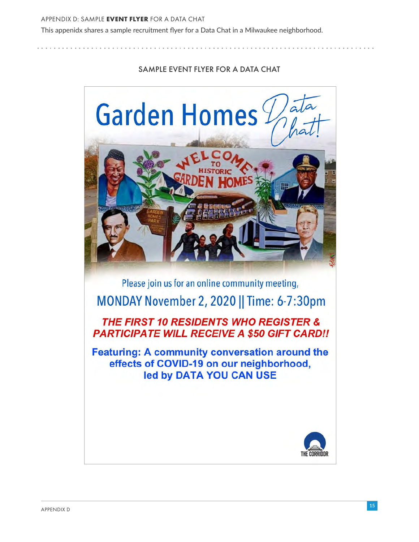This appenidx shares a sample recruitment flyer for a Data Chat in a Milwaukee neighborhood.

## SAMPLE EVENT FLYER FOR A DATA CHAT